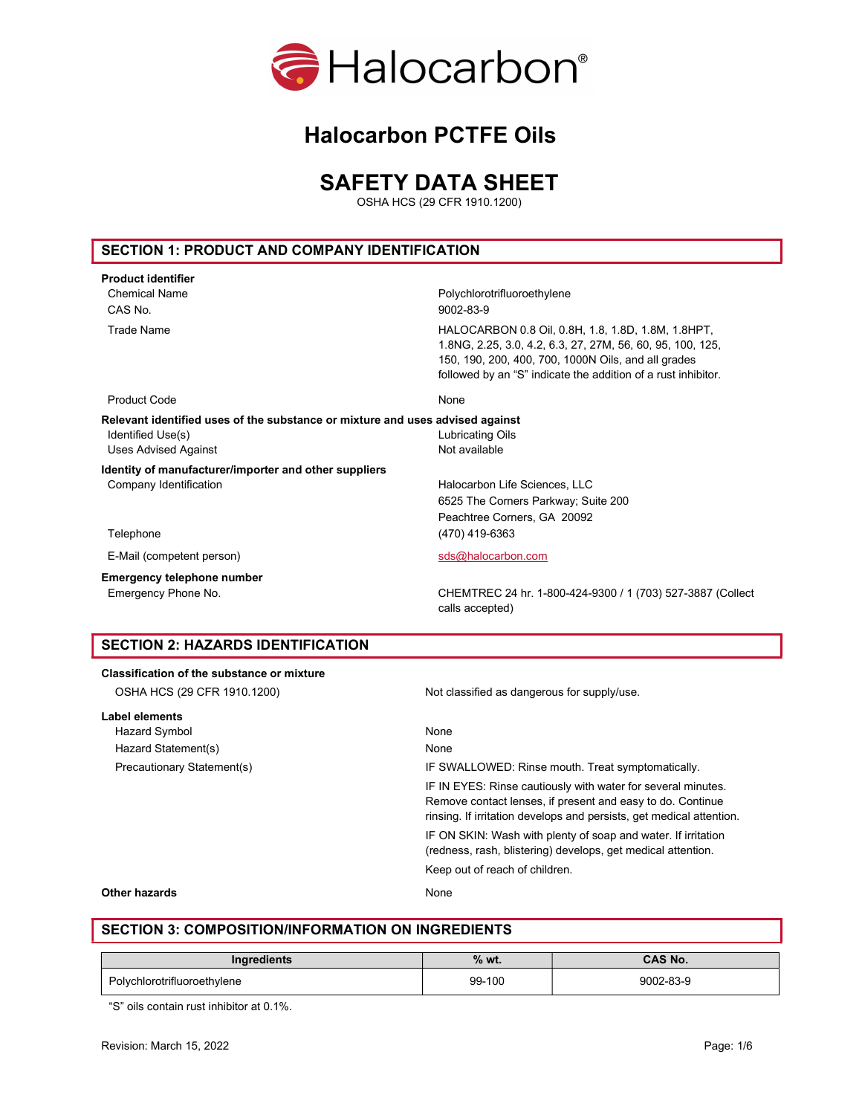

# SAFETY DATA SHEET

OSHA HCS (29 CFR 1910.1200)

# SECTION 1: PRODUCT AND COMPANY IDENTIFICATION

| <b>Product identifier</b>                                                     |                                                                                                                                                                                                                                          |
|-------------------------------------------------------------------------------|------------------------------------------------------------------------------------------------------------------------------------------------------------------------------------------------------------------------------------------|
| <b>Chemical Name</b>                                                          | Polychlorotrifluoroethylene                                                                                                                                                                                                              |
| CAS No.                                                                       | 9002-83-9                                                                                                                                                                                                                                |
| <b>Trade Name</b>                                                             | HALOCARBON 0.8 Oil, 0.8H, 1.8, 1.8D, 1.8M, 1.8HPT,<br>1.8NG, 2.25, 3.0, 4.2, 6.3, 27, 27M, 56, 60, 95, 100, 125,<br>150, 190, 200, 400, 700, 1000N Oils, and all grades<br>followed by an "S" indicate the addition of a rust inhibitor. |
| <b>Product Code</b>                                                           | None                                                                                                                                                                                                                                     |
| Relevant identified uses of the substance or mixture and uses advised against |                                                                                                                                                                                                                                          |
| Identified Use(s)                                                             | <b>Lubricating Oils</b>                                                                                                                                                                                                                  |
| <b>Uses Advised Against</b>                                                   | Not available                                                                                                                                                                                                                            |
| Identity of manufacturer/importer and other suppliers                         |                                                                                                                                                                                                                                          |
| Company Identification                                                        | Halocarbon Life Sciences, LLC                                                                                                                                                                                                            |
|                                                                               | 6525 The Corners Parkway; Suite 200                                                                                                                                                                                                      |
|                                                                               | Peachtree Corners, GA 20092                                                                                                                                                                                                              |
| Telephone                                                                     | (470) 419-6363                                                                                                                                                                                                                           |
| E-Mail (competent person)                                                     | sds@halocarbon.com                                                                                                                                                                                                                       |
| <b>Emergency telephone number</b>                                             |                                                                                                                                                                                                                                          |
| Emergency Phone No.                                                           | CHEMTREC 24 hr. 1-800-424-9300 / 1 (703) 527-3887 (Collect<br>calls accepted)                                                                                                                                                            |
| <b>SECTION 2: HAZARDS IDENTIFICATION</b>                                      |                                                                                                                                                                                                                                          |
| <b>Classification of the substance or mixture</b>                             |                                                                                                                                                                                                                                          |
| OSHA HCS (29 CFR 1910.1200)                                                   | Not classified as dangerous for supply/use.                                                                                                                                                                                              |
|                                                                               |                                                                                                                                                                                                                                          |

| Label elements             |                                                                                                                                                                                                    |
|----------------------------|----------------------------------------------------------------------------------------------------------------------------------------------------------------------------------------------------|
| Hazard Symbol              | None                                                                                                                                                                                               |
| Hazard Statement(s)        | None                                                                                                                                                                                               |
| Precautionary Statement(s) | IF SWALLOWED: Rinse mouth. Treat symptomatically.                                                                                                                                                  |
|                            | IF IN EYES: Rinse cautiously with water for several minutes.<br>Remove contact lenses, if present and easy to do. Continue<br>rinsing. If irritation develops and persists, get medical attention. |
|                            | IF ON SKIN: Wash with plenty of soap and water. If irritation<br>(redness, rash, blistering) develops, get medical attention.                                                                      |
|                            | Keep out of reach of children.                                                                                                                                                                     |

#### Other hazards None

## SECTION 3: COMPOSITION/INFORMATION ON INGREDIENTS

| Ingredients                 | $%$ wt. | <b>CAS No.</b> |
|-----------------------------|---------|----------------|
| Polychlorotrifluoroethylene | 99-100  | 9002-83-9      |

"S" oils contain rust inhibitor at 0.1%.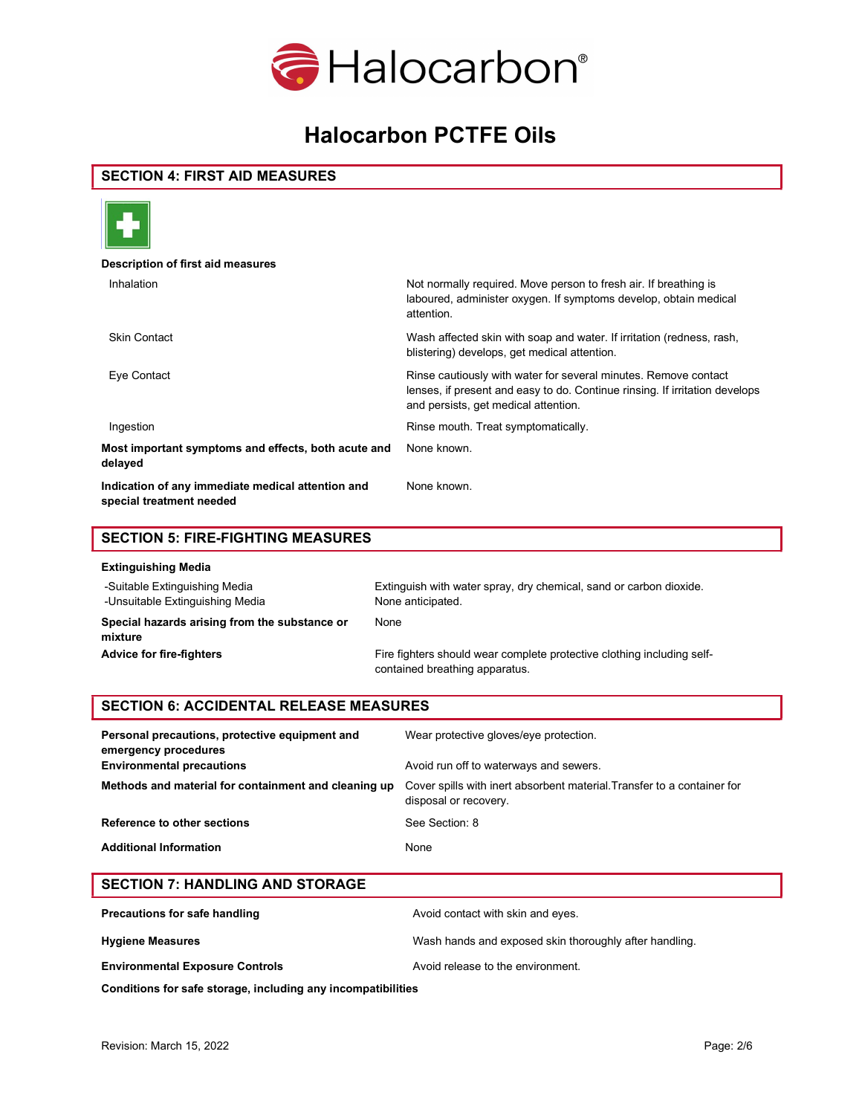

## SECTION 4: FIRST AID MEASURES



#### Description of first aid measures

| Inhalation                                                                    | Not normally required. Move person to fresh air. If breathing is<br>laboured, administer oxygen. If symptoms develop, obtain medical<br>attention.                                     |
|-------------------------------------------------------------------------------|----------------------------------------------------------------------------------------------------------------------------------------------------------------------------------------|
| <b>Skin Contact</b>                                                           | Wash affected skin with soap and water. If irritation (redness, rash,<br>blistering) develops, get medical attention.                                                                  |
| Eye Contact                                                                   | Rinse cautiously with water for several minutes. Remove contact<br>lenses, if present and easy to do. Continue rinsing. If irritation develops<br>and persists, get medical attention. |
| Ingestion                                                                     | Rinse mouth. Treat symptomatically.                                                                                                                                                    |
| Most important symptoms and effects, both acute and<br>delayed                | None known.                                                                                                                                                                            |
| Indication of any immediate medical attention and<br>special treatment needed | None known.                                                                                                                                                                            |

# SECTION 5: FIRE-FIGHTING MEASURES

| <b>Extinguishing Media</b>                                       |                                                                                                          |
|------------------------------------------------------------------|----------------------------------------------------------------------------------------------------------|
| -Suitable Extinguishing Media<br>-Unsuitable Extinguishing Media | Extinguish with water spray, dry chemical, sand or carbon dioxide.<br>None anticipated.                  |
| Special hazards arising from the substance or<br>mixture         | None                                                                                                     |
| <b>Advice for fire-fighters</b>                                  | Fire fighters should wear complete protective clothing including self-<br>contained breathing apparatus. |

## SECTION 6: ACCIDENTAL RELEASE MEASURES

| Wear protective gloves/eye protection.<br>Avoid run off to waterways and sewers.                 |
|--------------------------------------------------------------------------------------------------|
|                                                                                                  |
| Cover spills with inert absorbent material. Transfer to a container for<br>disposal or recovery. |
| See Section: 8                                                                                   |
| None                                                                                             |
|                                                                                                  |

# SECTION 7: HANDLING AND STORAGE

| Precautions for safe handling          | Avoid contact with skin and eyes.                      |
|----------------------------------------|--------------------------------------------------------|
| <b>Hygiene Measures</b>                | Wash hands and exposed skin thoroughly after handling. |
| <b>Environmental Exposure Controls</b> | Avoid release to the environment.                      |

Conditions for safe storage, including any incompatibilities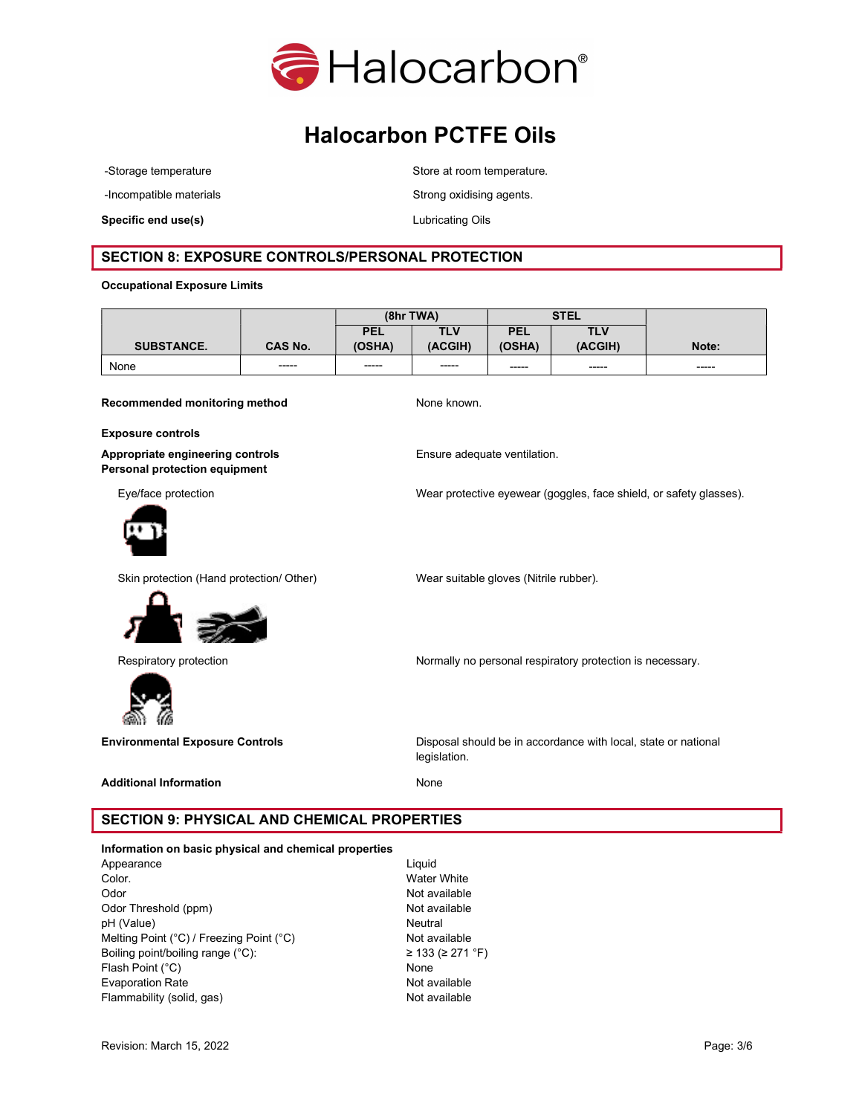

-Incompatible materials **Strong oxidising agents**.

Specific end use(s) and the contraction of the Lubricating Oils contraction of the Lubricating Oils

-Storage temperature extending the Store at room temperature.

## SECTION 8: EXPOSURE CONTROLS/PERSONAL PROTECTION

#### Occupational Exposure Limits

|                   |                | (8hrTWA)    |            | <b>STEL</b> |             |       |
|-------------------|----------------|-------------|------------|-------------|-------------|-------|
|                   |                | <b>PEL</b>  | <b>TLV</b> | PEL         | <b>TLV</b>  |       |
| <b>SUBSTANCE.</b> | <b>CAS No.</b> | (OSHA)      | (ACGIH)    | (OSHA)      | (ACGIH)     | Note: |
| None              | -----          | $- - - - -$ | -----      | $- - - - -$ | $- - - - -$ | ----- |

Recommended monitoring method None known.

Exposure controls

Appropriate engineering controls **Ensure adequate ventilation.** Personal protection equipment



Eye/face protection Wear protective eyewear (goggles, face shield, or safety glasses).

Skin protection (Hand protection/ Other) Wear suitable gloves (Nitrile rubber).



Respiratory protection Normally no personal respiratory protection is necessary.



Environmental Exposure Controls **Disposal should be in accordance with local**, state or national legislation.

## Additional Information None

# SECTION 9: PHYSICAL AND CHEMICAL PROPERTIES

#### Information on basic physical and chemical properties

Appearance Liquid Color. Water White Odor Not available Odor Threshold (ppm) Not available pH (Value) Neutral Melting Point (°C) / Freezing Point (°C) Not available Boiling point/boiling range (°C):  $\geq 133 \approx 271$  °F) Flash Point (°C) None Evaporation Rate **Not available** Not available Flammability (solid, gas) Not available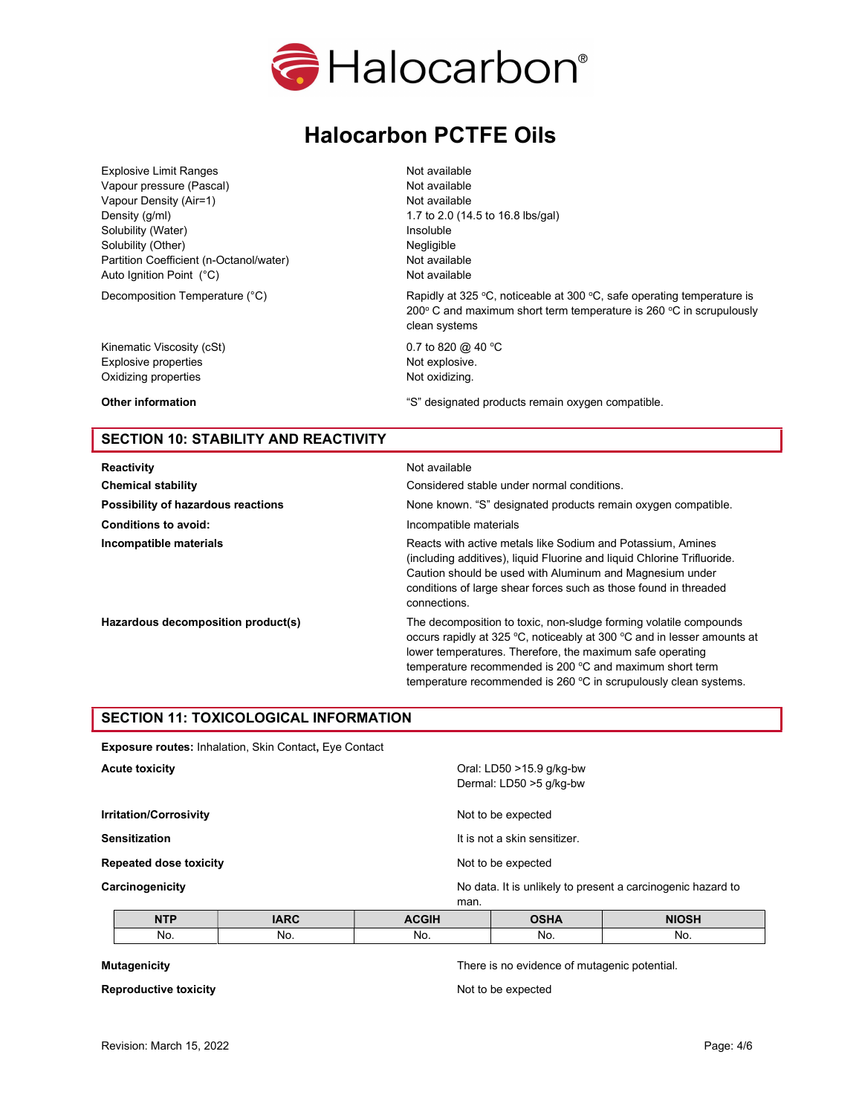

Explosive Limit Ranges Not available Vapour pressure (Pascal) Not available Vapour Density (Air=1) Not available Density (g/ml) 1.7 to 2.0 (14.5 to 16.8 lbs/gal) Solubility (Water) **Insoluble** Solubility (Other) Negligible Partition Coefficient (n-Octanol/water) Not available Auto Ignition Point (°C) and a series are all the Not available

Kinematic Viscosity (cSt) 6.7 to 820  $\omega$  40 °C Explosive properties and the explosive explosive. Oxidizing properties Not oxidizing.

Decomposition Temperature (°C)  $Rapidly at 325 °C$ , noticeable at 300 °C, safe operating temperature is 200 $\textdegree$  C and maximum short term temperature is 260  $\textdegree$ C in scrupulously clean systems

Other information **Compatible** is a set of the set of the system of the system of the system of the system of the system of the system of the system of the system of the system of the system of the system of the system of

# SECTION 10: STABILITY AND REACTIVITY

Reactivity **Notifiable** Not available Conditions to avoid: **Incompatible materials** 

Chemical stability Considered stable under normal conditions. Possibility of hazardous reactions None known. "S" designated products remain oxygen compatible. Incompatible materials **Reacts with active metals like Sodium and Potassium**, Amines (including additives), liquid Fluorine and liquid Chlorine Trifluoride. Caution should be used with Aluminum and Magnesium under conditions of large shear forces such as those found in threaded connections. Hazardous decomposition product(s) The decomposition to toxic, non-sludge forming volatile compounds occurs rapidly at 325 °C, noticeably at 300 °C and in lesser amounts at lower temperatures. Therefore, the maximum safe operating temperature recommended is 200 °C and maximum short term

#### temperature recommended is 260 °C in scrupulously clean systems.

#### SECTION 11: TOXICOLOGICAL INFORMATION

| <b>Exposure routes: Inhalation, Skin Contact, Eye Contact</b> |                                                                     |
|---------------------------------------------------------------|---------------------------------------------------------------------|
| <b>Acute toxicity</b>                                         | Oral: LD50 >15.9 g/kg-bw<br>Dermal: LD50 >5 g/kg-bw                 |
| <b>Irritation/Corrosivity</b>                                 | Not to be expected                                                  |
| <b>Sensitization</b>                                          | It is not a skin sensitizer.                                        |
| <b>Repeated dose toxicity</b>                                 | Not to be expected                                                  |
| Carcinogenicity                                               | No data. It is unlikely to present a carcinogenic hazard to<br>man. |

| <b>NITE</b><br><b>ALLA</b> | $\overline{ }$<br>$\cdots$ | <b>CGIH</b><br>------- |     | <b>NIOSH</b><br>. |
|----------------------------|----------------------------|------------------------|-----|-------------------|
| No.                        | No.                        | NO.                    | No. | No.               |

Reproductive toxicity Not to be expected

Mutagenicity There is no evidence of mutagenic potential.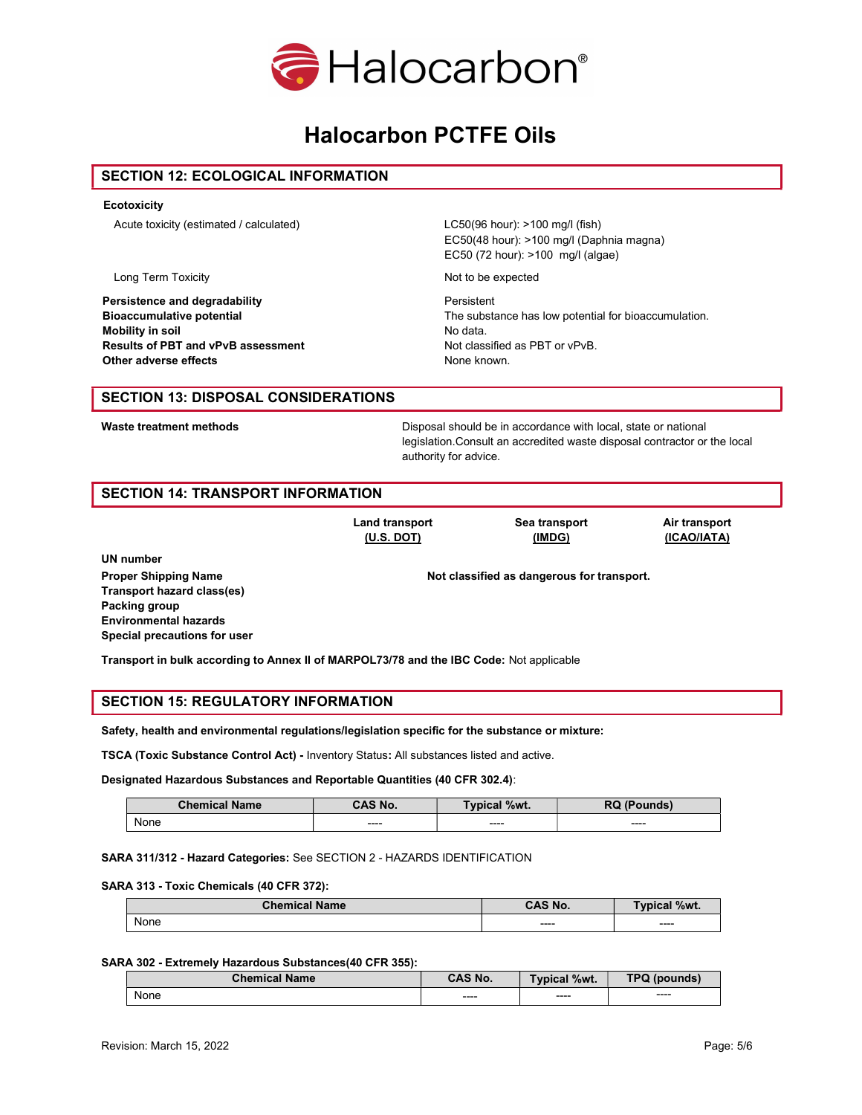

#### SECTION 12: ECOLOGICAL INFORMATION

#### **Ecotoxicity**

Acute toxicity (estimated / calculated) LC50(96 hour): >100 mg/l (fish)

Persistence and degradability<br>
Bioaccumulative potential<br>
The subst Mobility in soil and the solution of the Model and Model and Model and Model and Model and Model and Model and Model and Model and Model and Model and Model and Model and Model and Model and Model and Model and Model and M Results of PBT and vPvB assessment Not classified as PBT or vPvB. Other adverse effects **None known.** None known.

EC50(48 hour): >100 mg/l (Daphnia magna) EC50 (72 hour): >100 mg/l (algae)

Long Term Toxicity Not to be expected

The substance has low potential for bioaccumulation.

#### SECTION 13: DISPOSAL CONSIDERATIONS

Waste treatment methods **Disposal should be in accordance with local**, state or national legislation.Consult an accredited waste disposal contractor or the local authority for advice.

## SECTION 14: TRANSPORT INFORMATION

Land transport (U.S. DOT)

Sea transport (IMDG)

Air transport (ICAO/IATA)

UN number Transport hazard class(es) Packing group Environmental hazards Special precautions for user

Proper Shipping Name Not classified as dangerous for transport.

Transport in bulk according to Annex II of MARPOL73/78 and the IBC Code: Not applicable

## SECTION 15: REGULATORY INFORMATION

Safety, health and environmental regulations/legislation specific for the substance or mixture:

TSCA (Toxic Substance Control Act) - Inventory Status: All substances listed and active.

Designated Hazardous Substances and Reportable Quantities (40 CFR 302.4):

| <b>Chemical Name</b> | CAS No. | Typical %wt. | <b>RQ (Pounds)</b> |
|----------------------|---------|--------------|--------------------|
| None                 | $---$   | $--- -$      | $---$              |

#### SARA 311/312 - Hazard Categories: See SECTION 2 - HAZARDS IDENTIFICATION

#### SARA 313 - Toxic Chemicals (40 CFR 372):

| <b>Chemical Name</b> | <b>CAS No.</b> | <b>Typical %wt.</b> |
|----------------------|----------------|---------------------|
| None                 | $--- -$        | ----                |

#### SARA 302 - Extremely Hazardous Substances(40 CFR 355):

| <b>Chemical Name</b> | <b>CAS No.</b> | <b>Typical %wt.</b> | <b>TPQ (pounds)</b>                  |
|----------------------|----------------|---------------------|--------------------------------------|
| <b>None</b>          | ----           | $--- -$             | $\qquad \qquad \cdots \qquad \qquad$ |